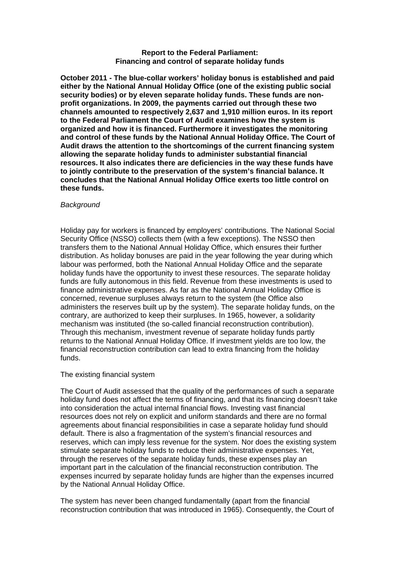### **Report to the Federal Parliament: Financing and control of separate holiday funds**

**October 2011 - The blue-collar workers' holiday bonus is established and paid either by the National Annual Holiday Office (one of the existing public social security bodies) or by eleven separate holiday funds. These funds are nonprofit organizations. In 2009, the payments carried out through these two channels amounted to respectively 2,637 and 1,910 million euros. In its report to the Federal Parliament the Court of Audit examines how the system is organized and how it is financed. Furthermore it investigates the monitoring and control of these funds by the National Annual Holiday Office. The Court of Audit draws the attention to the shortcomings of the current financing system allowing the separate holiday funds to administer substantial financial resources. It also indicates there are deficiencies in the way these funds have to jointly contribute to the preservation of the system's financial balance. It concludes that the National Annual Holiday Office exerts too little control on these funds.** 

# *Background*

Holiday pay for workers is financed by employers' contributions. The National Social Security Office (NSSO) collects them (with a few exceptions). The NSSO then transfers them to the National Annual Holiday Office, which ensures their further distribution. As holiday bonuses are paid in the year following the year during which labour was performed, both the National Annual Holiday Office and the separate holiday funds have the opportunity to invest these resources. The separate holiday funds are fully autonomous in this field. Revenue from these investments is used to finance administrative expenses. As far as the National Annual Holiday Office is concerned, revenue surpluses always return to the system (the Office also administers the reserves built up by the system). The separate holiday funds, on the contrary, are authorized to keep their surpluses. In 1965, however, a solidarity mechanism was instituted (the so-called financial reconstruction contribution). Through this mechanism, investment revenue of separate holiday funds partly returns to the National Annual Holiday Office. If investment yields are too low, the financial reconstruction contribution can lead to extra financing from the holiday funds.

# The existing financial system

The Court of Audit assessed that the quality of the performances of such a separate holiday fund does not affect the terms of financing, and that its financing doesn't take into consideration the actual internal financial flows. Investing vast financial resources does not rely on explicit and uniform standards and there are no formal agreements about financial responsibilities in case a separate holiday fund should default. There is also a fragmentation of the system's financial resources and reserves, which can imply less revenue for the system. Nor does the existing system stimulate separate holiday funds to reduce their administrative expenses. Yet, through the reserves of the separate holiday funds, these expenses play an important part in the calculation of the financial reconstruction contribution. The expenses incurred by separate holiday funds are higher than the expenses incurred by the National Annual Holiday Office.

The system has never been changed fundamentally (apart from the financial reconstruction contribution that was introduced in 1965). Consequently, the Court of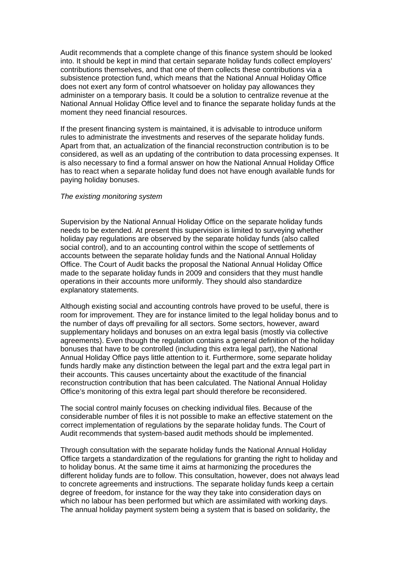Audit recommends that a complete change of this finance system should be looked into. It should be kept in mind that certain separate holiday funds collect employers' contributions themselves, and that one of them collects these contributions via a subsistence protection fund, which means that the National Annual Holiday Office does not exert any form of control whatsoever on holiday pay allowances they administer on a temporary basis. It could be a solution to centralize revenue at the National Annual Holiday Office level and to finance the separate holiday funds at the moment they need financial resources.

If the present financing system is maintained, it is advisable to introduce uniform rules to administrate the investments and reserves of the separate holiday funds. Apart from that, an actualization of the financial reconstruction contribution is to be considered, as well as an updating of the contribution to data processing expenses. It is also necessary to find a formal answer on how the National Annual Holiday Office has to react when a separate holiday fund does not have enough available funds for paying holiday bonuses.

### *The existing monitoring system*

Supervision by the National Annual Holiday Office on the separate holiday funds needs to be extended. At present this supervision is limited to surveying whether holiday pay regulations are observed by the separate holiday funds (also called social control), and to an accounting control within the scope of settlements of accounts between the separate holiday funds and the National Annual Holiday Office. The Court of Audit backs the proposal the National Annual Holiday Office made to the separate holiday funds in 2009 and considers that they must handle operations in their accounts more uniformly. They should also standardize explanatory statements.

Although existing social and accounting controls have proved to be useful, there is room for improvement. They are for instance limited to the legal holiday bonus and to the number of days off prevailing for all sectors. Some sectors, however, award supplementary holidays and bonuses on an extra legal basis (mostly via collective agreements). Even though the regulation contains a general definition of the holiday bonuses that have to be controlled (including this extra legal part), the National Annual Holiday Office pays little attention to it. Furthermore, some separate holiday funds hardly make any distinction between the legal part and the extra legal part in their accounts. This causes uncertainty about the exactitude of the financial reconstruction contribution that has been calculated. The National Annual Holiday Office's monitoring of this extra legal part should therefore be reconsidered.

The social control mainly focuses on checking individual files. Because of the considerable number of files it is not possible to make an effective statement on the correct implementation of regulations by the separate holiday funds. The Court of Audit recommends that system-based audit methods should be implemented.

Through consultation with the separate holiday funds the National Annual Holiday Office targets a standardization of the regulations for granting the right to holiday and to holiday bonus. At the same time it aims at harmonizing the procedures the different holiday funds are to follow. This consultation, however, does not always lead to concrete agreements and instructions. The separate holiday funds keep a certain degree of freedom, for instance for the way they take into consideration days on which no labour has been performed but which are assimilated with working days. The annual holiday payment system being a system that is based on solidarity, the